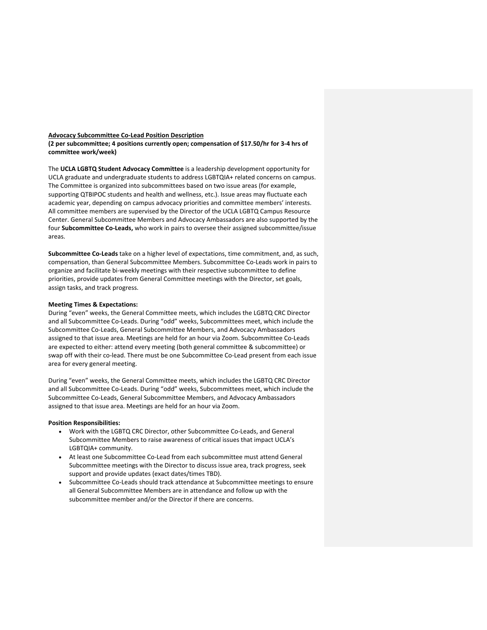#### **Advocacy Subcommittee Co-Lead Position Description**

**(2 per subcommittee; 4 positions currently open; compensation of \$17.50/hr for 3-4 hrs of committee work/week)**

The **UCLA LGBTQ Student Advocacy Committee** is a leadership development opportunity for UCLA graduate and undergraduate students to address LGBTQIA+ related concerns on campus. The Committee is organized into subcommittees based on two issue areas (for example, supporting QTBIPOC students and health and wellness, etc.). Issue areas may fluctuate each academic year, depending on campus advocacy priorities and committee members' interests. All committee members are supervised by the Director of the UCLA LGBTQ Campus Resource Center. General Subcommittee Members and Advocacy Ambassadors are also supported by the four **Subcommittee Co-Leads,** who work in pairs to oversee their assigned subcommittee/issue areas.

**Subcommittee Co-Leads** take on a higher level of expectations, time commitment, and, as such, compensation, than General Subcommittee Members. Subcommittee Co-Leads work in pairs to organize and facilitate bi-weekly meetings with their respective subcommittee to define priorities, provide updates from General Committee meetings with the Director, set goals, assign tasks, and track progress.

### **Meeting Times & Expectations:**

During "even" weeks, the General Committee meets, which includes the LGBTQ CRC Director and all Subcommittee Co-Leads. During "odd" weeks, Subcommittees meet, which include the Subcommittee Co-Leads, General Subcommittee Members, and Advocacy Ambassadors assigned to that issue area. Meetings are held for an hour via Zoom. Subcommittee Co-Leads are expected to either: attend every meeting (both general committee & subcommittee) or swap off with their co-lead. There must be one Subcommittee Co-Lead present from each issue area for every general meeting.

During "even" weeks, the General Committee meets, which includes the LGBTQ CRC Director and all Subcommittee Co-Leads. During "odd" weeks, Subcommittees meet, which include the Subcommittee Co-Leads, General Subcommittee Members, and Advocacy Ambassadors assigned to that issue area. Meetings are held for an hour via Zoom.

### **Position Responsibilities:**

- Work with the LGBTQ CRC Director, other Subcommittee Co-Leads, and General Subcommittee Members to raise awareness of critical issues that impact UCLA's LGBTQIA+ community.
- At least one Subcommittee Co-Lead from each subcommittee must attend General Subcommittee meetings with the Director to discuss issue area, track progress, seek support and provide updates (exact dates/times TBD).
- Subcommittee Co-Leads should track attendance at Subcommittee meetings to ensure all General Subcommittee Members are in attendance and follow up with the subcommittee member and/or the Director if there are concerns.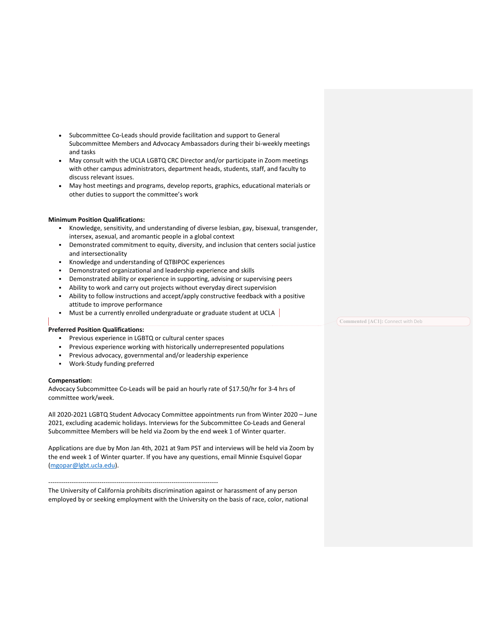- Subcommittee Co-Leads should provide facilitation and support to General Subcommittee Members and Advocacy Ambassadors during their bi-weekly meetings and tasks
- May consult with the UCLA LGBTQ CRC Director and/or participate in Zoom meetings with other campus administrators, department heads, students, staff, and faculty to discuss relevant issues.
- May host meetings and programs, develop reports, graphics, educational materials or other duties to support the committee's work

## **Minimum Position Qualifications:**

- ! Knowledge, sensitivity, and understanding of diverse lesbian, gay, bisexual, transgender, intersex, asexual, and aromantic people in a global context
- ! Demonstrated commitment to equity, diversity, and inclusion that centers social justice and intersectionality
- ! Knowledge and understanding of QTBIPOC experiences
- ! Demonstrated organizational and leadership experience and skills
- ! Demonstrated ability or experience in supporting, advising or supervising peers
- ! Ability to work and carry out projects without everyday direct supervision
- ! Ability to follow instructions and accept/apply constructive feedback with a positive attitude to improve performance
- $\blacksquare$  Must be a currently enrolled undergraduate or graduate student at UCLA

### **Preferred Position Qualifications:**

- ! Previous experience in LGBTQ or cultural center spaces
- ! Previous experience working with historically underrepresented populations
- ! Previous advocacy, governmental and/or leadership experience
- ! Work-Study funding preferred

### **Compensation:**

Advocacy Subcommittee Co-Leads will be paid an hourly rate of \$17.50/hr for 3-4 hrs of committee work/week.

All 2020-2021 LGBTQ Student Advocacy Committee appointments run from Winter 2020 – June 2021, excluding academic holidays. Interviews for the Subcommittee Co-Leads and General Subcommittee Members will be held via Zoom by the end week 1 of Winter quarter.

Applications are due by Mon Jan 4th, 2021 at 9am PST and interviews will be held via Zoom by the end week 1 of Winter quarter. If you have any questions, email Minnie Esquivel Gopar (mgopar@lgbt.ucla.edu).

# --------------------------------------------------------------------------------

The University of California prohibits discrimination against or harassment of any person employed by or seeking employment with the University on the basis of race, color, national **Commented [AC1]:** Connect with Deb